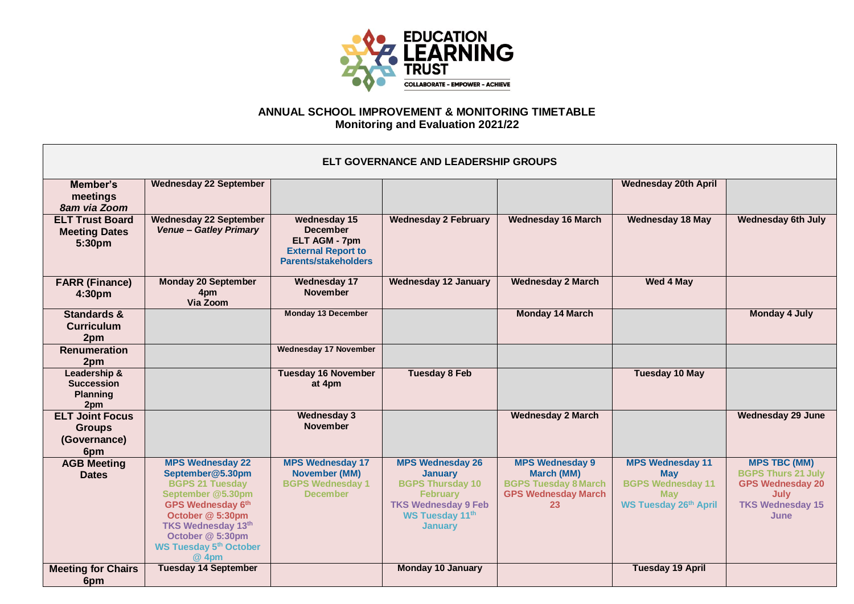

## **ANNUAL SCHOOL IMPROVEMENT & MONITORING TIMETABLE Monitoring and Evaluation 2021/22**

| ELT GOVERNANCE AND LEADERSHIP GROUPS                           |                                                                                                                                                                                                                                       |                                                                                                              |                                                                                                                                                            |                                                                                                                |                                                                                                                 |                                                                                                                        |  |
|----------------------------------------------------------------|---------------------------------------------------------------------------------------------------------------------------------------------------------------------------------------------------------------------------------------|--------------------------------------------------------------------------------------------------------------|------------------------------------------------------------------------------------------------------------------------------------------------------------|----------------------------------------------------------------------------------------------------------------|-----------------------------------------------------------------------------------------------------------------|------------------------------------------------------------------------------------------------------------------------|--|
| Member's<br>meetings<br>8am via Zoom                           | <b>Wednesday 22 September</b>                                                                                                                                                                                                         |                                                                                                              |                                                                                                                                                            |                                                                                                                | <b>Wednesday 20th April</b>                                                                                     |                                                                                                                        |  |
| <b>ELT Trust Board</b><br><b>Meeting Dates</b><br>5:30pm       | <b>Wednesday 22 September</b><br><b>Venue - Gatley Primary</b>                                                                                                                                                                        | Wednesday 15<br><b>December</b><br>ELT AGM - 7pm<br><b>External Report to</b><br><b>Parents/stakeholders</b> | <b>Wednesday 2 February</b>                                                                                                                                | <b>Wednesday 16 March</b>                                                                                      | <b>Wednesday 18 May</b>                                                                                         | <b>Wednesday 6th July</b>                                                                                              |  |
| <b>FARR (Finance)</b><br>4:30pm                                | <b>Monday 20 September</b><br>4pm<br>Via Zoom                                                                                                                                                                                         | <b>Wednesday 17</b><br><b>November</b>                                                                       | <b>Wednesday 12 January</b>                                                                                                                                | <b>Wednesday 2 March</b>                                                                                       | <b>Wed 4 May</b>                                                                                                |                                                                                                                        |  |
| <b>Standards &amp;</b><br><b>Curriculum</b><br>2pm             |                                                                                                                                                                                                                                       | <b>Monday 13 December</b>                                                                                    |                                                                                                                                                            | <b>Monday 14 March</b>                                                                                         |                                                                                                                 | <b>Monday 4 July</b>                                                                                                   |  |
| <b>Renumeration</b><br>2pm                                     |                                                                                                                                                                                                                                       | <b>Wednesday 17 November</b>                                                                                 |                                                                                                                                                            |                                                                                                                |                                                                                                                 |                                                                                                                        |  |
| Leadership &<br><b>Succession</b><br><b>Planning</b><br>2pm    |                                                                                                                                                                                                                                       | <b>Tuesday 16 November</b><br>at 4pm                                                                         | <b>Tuesday 8 Feb</b>                                                                                                                                       |                                                                                                                | <b>Tuesday 10 May</b>                                                                                           |                                                                                                                        |  |
| <b>ELT Joint Focus</b><br><b>Groups</b><br>(Governance)<br>6pm |                                                                                                                                                                                                                                       | <b>Wednesday 3</b><br><b>November</b>                                                                        |                                                                                                                                                            | <b>Wednesday 2 March</b>                                                                                       |                                                                                                                 | <b>Wednesday 29 June</b>                                                                                               |  |
| <b>AGB Meeting</b><br><b>Dates</b>                             | <b>MPS Wednesday 22</b><br>September@5.30pm<br><b>BGPS 21 Tuesday</b><br>September @5.30pm<br><b>GPS Wednesday 6th</b><br>October @ 5:30pm<br><b>TKS Wednesday 13th</b><br>October @ 5:30pm<br><b>WS Tuesday 5th October</b><br>@ 4pm | <b>MPS Wednesday 17</b><br>November (MM)<br><b>BGPS Wednesday 1</b><br><b>December</b>                       | <b>MPS Wednesday 26</b><br><b>January</b><br><b>BGPS Thursday 10</b><br><b>February</b><br><b>TKS Wednesday 9 Feb</b><br>WS Tuesday 11th<br><b>January</b> | <b>MPS Wednesday 9</b><br><b>March (MM)</b><br><b>BGPS Tuesday 8 March</b><br><b>GPS Wednesday March</b><br>23 | <b>MPS Wednesday 11</b><br><b>May</b><br><b>BGPS Wednesday 11</b><br><b>May</b><br><b>WS Tuesday 26th April</b> | <b>MPS TBC (MM)</b><br><b>BGPS Thurs 21 July</b><br><b>GPS Wednesday 20</b><br>July<br><b>TKS Wednesday 15</b><br>June |  |
| <b>Meeting for Chairs</b><br>6pm                               | <b>Tuesday 14 September</b>                                                                                                                                                                                                           |                                                                                                              | <b>Monday 10 January</b>                                                                                                                                   |                                                                                                                | <b>Tuesday 19 April</b>                                                                                         |                                                                                                                        |  |